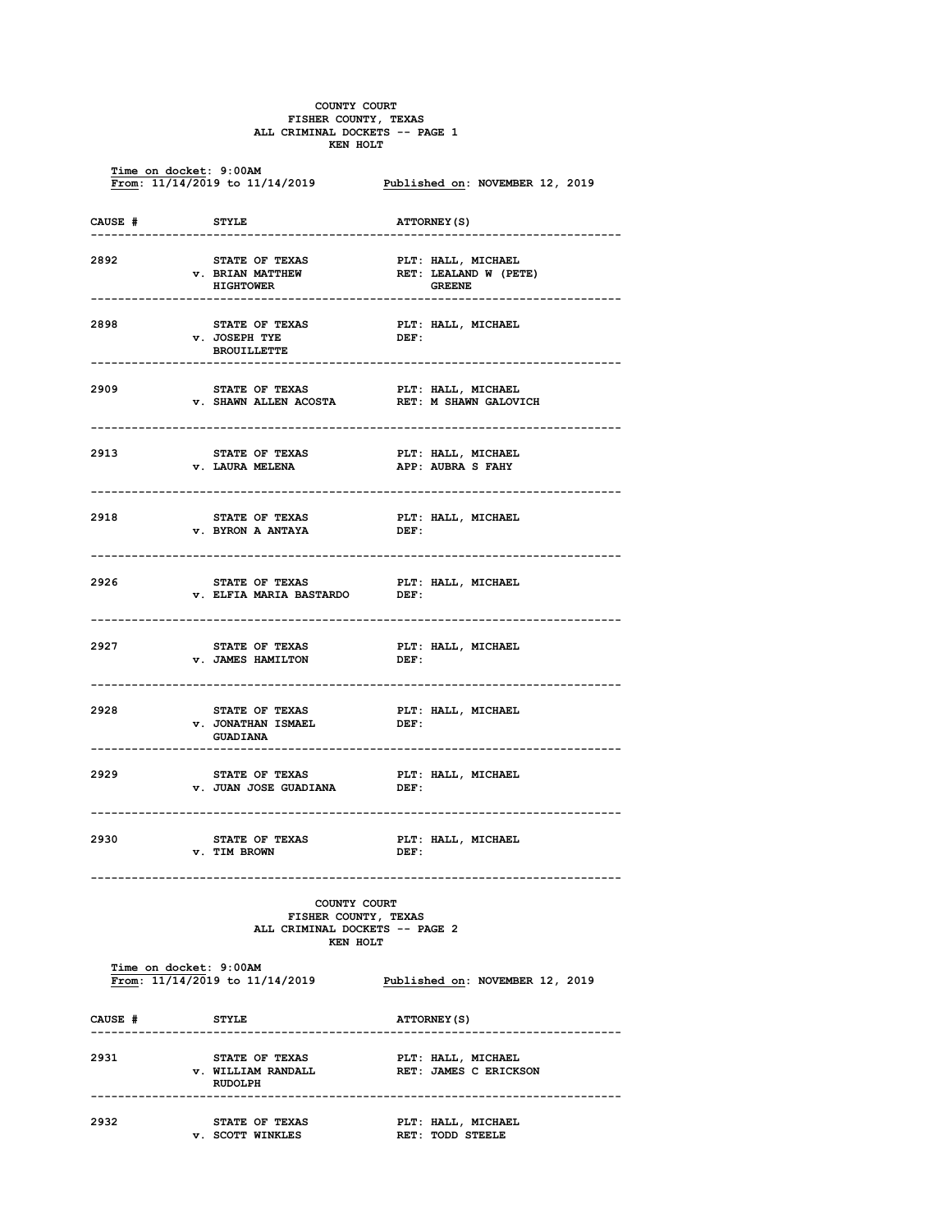## **COUNTY COURT FISHER COUNTY, TEXAS ALL CRIMINAL DOCKETS -- PAGE 1 KEN HOLT**

**Time on docket: 9:00AM**<br>**From: 11/14/2019 to 11/14/2019** Published on: NOVEMBER 12, 2019 **CAUSE # STYLE ATTORNEY(S) ------------------------------------------------------------------------------ 2892 STATE OF TEXAS PLT: HALL, MICHAEL v. BRIAN MATTHEW RET: LEALAND FIGHTOWER** RET: LEALAND **HIGHTOWER ------------------------------------------------------------------------------ 2898 STATE OF TEXAS PLT: HALL, MICHAEL v. JOSEPH TYE BROUILLETTE ------------------------------------------------------------------------------ 2909 STATE OF TEXAS PLT: HALL, MICHAEL PLT: PALL, PRET: M** RET: M SHAWN GALOVICH **------------------------------------------------------------------------------ 2913 STATE OF TEXAS PLT: HALL, MICHAEL v. LAURA MELENA APP: AUBRA S FAHY ------------------------------------------------------------------------------ 2918 STATE OF TEXAS PLT: HALL, MICHAEL v. BYRON A ANTAYA ------------------------------------------------------------------------------ 2926 STATE OF TEXAS PLT: HALL, MICHAEL v. ELFIA MARIA BASTARDO ------------------------------------------------------------------------------ 2927 STATE OF TEXAS PLT: HALL, MICHAEL v. JAMES HAMILTON DEF: ------------------------------------------------------------------------------ 2928 STATE OF TEXAS PLT: HALL, MICHAEL v. JONATHAN ISMAEL GUADIANA ------------------------------------------------------------------------------ 2929 STATE OF TEXAS PLT: HALL, MICHAEL v. JUAN JOSE GUADIANA ------------------------------------------------------------------------------ 2930 STATE OF TEXAS PLT: HALL, MICHAEL v. TIM BROWN ------------------------------------------------------------------------------ COUNTY COURT FISHER COUNTY, TEXAS ALL CRIMINAL DOCKETS -- PAGE 2 KEN HOLT Time on docket: 9:00AM From: 11/14/2019 to 11/14/2019 Published on: NOVEMBER 12, 2019**  CAUSE # STYLE **ATTORNEY** (S) **------------------------------------------------------------------------------ 2931 STATE OF TEXAS PLT: HALL, MICHAEL v. WILLIAM RANDALL RET: JAMES C ERICKSON RUDOLPH ------------------------------------------------------------------------------ 2932 STATE OF TEXAS PLT: HALL, MICHAEL**<br> **PLICIOTE WINKLES PRT: TODD STEELE** *v. SCOTT WINKLES*